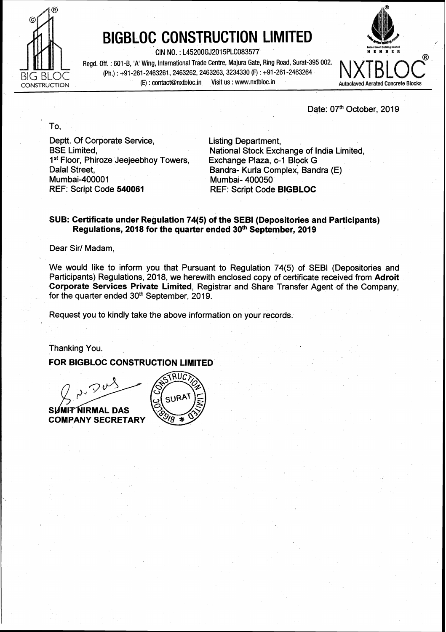

To.

## **BIGBLOC CONSTRUCTION LIMITED**

CIN NO. : L45200GJ2015PLC083577 **MEMBER** 

Regd. Off. : 601 -B, 'A' Wing, International Trade Centre, Majura Gate, Ring Road, Surat-395 002. (Ph.) : +91-261-2463261, 2463262, 2463263, 3234330 (F) : +91-261-2463264<br>(E) : contact@nxtbloc.in Visit us : www.nxtbloc.in CONSTRUCTION **(E)**: contact@nxtbloc.in Visit us : www.nxtbloc.in Autoclaved Aerated Concrete Blocks



Date: 07<sup>th</sup> October, 2019

Deptt. Of Corporate Service, Listing Department, 1<sup>st</sup> Floor, Phiroze Jeejeebhoy Towers, Dalal Street, Dalal Street, Bandra- Kurla complex; Bandra (E) Mumbai-400001 Mumbai-400050<br>REF: Script Code 540061 REF: Script Code

National Stock Exchange of India Limited,<br>Exchange Plaza, c-1 Block G REF: Script Code **540061** REF: Script Code **BIGBLOC** 

## **SUB: Certificate under Regulation 74(5) of the SEBl (Depositories and Participants) Regulations, 2018 for the quarter ended 30th September, 2019**

Dear Sir/ Madam,

We would like to inform you that Pursuant to Regulation 74(5) of SEBl (Depositories and Participants) Regulations, 2018, we herewith enclosed copy of certificate received from Adroit **Corporate Services Private Limited,** Registrar and Share Transfer Agent of the Company, for the quarter ended  $30<sup>th</sup>$  September, 2019.

Request you to kindly take the above information on your records.

Thanking You.

## **FOR BIGBLOC CONSTRUCTION LIMITED**

**NIRMAL DAS** SUM **COMPANY SECRETARY**